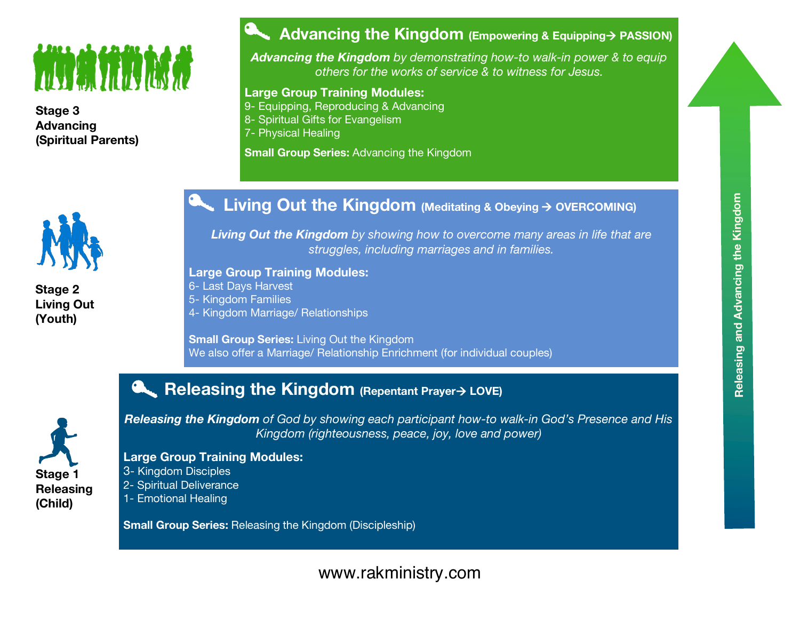# **THE SERVER OF A SERVER OF A SERVER OF A SERVER OF A SERVER OF A SERVER OF A SERVER OF A SERVER OF A SERVER OF**

**Stage 3 Advancing (Spiritual Parents)**



*Advancing the Kingdom by demonstrating how-to walk-in power & to equip others for the works of service & to witness for Jesus.*

#### **Large Group Training Modules:**

9- Equipping, Reproducing & Advancing

8- Spiritual Gifts for Evangelism

7- Physical Healing

**Small Group Series:** Advancing the Kingdom



**Stage 2 Living Out (Youth)**

## **Living Out the Kingdom (Meditating & Obeying** <sup>à</sup> **OVERCOMING)**

*Living Out the Kingdom by showing how to overcome many areas in life that are struggles, including marriages and in families.*

#### **Large Group Training Modules:**

6- Last Days Harvest

5- Kingdom Families

4- Kingdom Marriage/ Relationships

**Small Group Series:** Living Out the Kingdom We also offer a Marriage/ Relationship Enrichment (for individual couples)

## **Releasing the Kingdom (Repentant Prayer**<sup>à</sup> **LOVE)**



*Releasing the Kingdom of God by showing each participant how-to walk-in God's Presence and His Kingdom (righteousness, peace, joy, love and power)*

### **Large Group Training Modules:**

3- Kingdom Disciples 2- Spiritual Deliverance 1- Emotional Healing

**Small Group Series:** Releasing the Kingdom (Discipleship)

## www.rakministry.com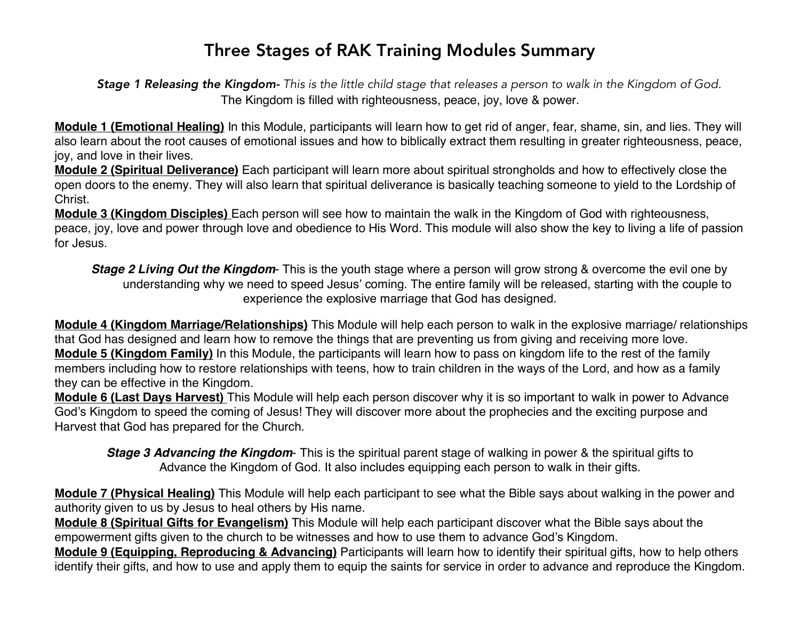## Three Stages of RAK Training Modules Summary

Stage 1 Releasing the Kingdom- This is the little child stage that releases a person to walk in the Kingdom of God. The Kingdom is filled with righteousness, peace, joy, love & power.

**Module 1 (Emotional Healing)** In this Module, participants will learn how to get rid of anger, fear, shame, sin, and lies. They will also learn about the root causes of emotional issues and how to biblically extract them resulting in greater righteousness, peace, joy, and love in their lives.

**Module 2 (Spiritual Deliverance)** Each participant will learn more about spiritual strongholds and how to effectively close the open doors to the enemy. They will also learn that spiritual deliverance is basically teaching someone to yield to the Lordship of Christ.

**Module 3 (Kingdom Disciples)** Each person will see how to maintain the walk in the Kingdom of God with righteousness, peace, joy, love and power through love and obedience to His Word. This module will also show the key to living a life of passion for Jesus.

*Stage 2 Living Out the Kingdom*- This is the youth stage where a person will grow strong & overcome the evil one by understanding why we need to speed Jesus' coming. The entire family will be released, starting with the couple to experience the explosive marriage that God has designed.

**Module 4 (Kingdom Marriage/Relationships)** This Module will help each person to walk in the explosive marriage/ relationships that God has designed and learn how to remove the things that are preventing us from giving and receiving more love. **Module 5 (Kingdom Family)** In this Module, the participants will learn how to pass on kingdom life to the rest of the family members including how to restore relationships with teens, how to train children in the ways of the Lord, and how as a family they can be effective in the Kingdom.

**Module 6 (Last Days Harvest)** This Module will help each person discover why it is so important to walk in power to Advance God's Kingdom to speed the coming of Jesus! They will discover more about the prophecies and the exciting purpose and Harvest that God has prepared for the Church.

*Stage 3 Advancing the Kingdom*- This is the spiritual parent stage of walking in power & the spiritual gifts to Advance the Kingdom of God. It also includes equipping each person to walk in their gifts.

**Module 7 (Physical Healing)** This Module will help each participant to see what the Bible says about walking in the power and authority given to us by Jesus to heal others by His name.

**Module 8 (Spiritual Gifts for Evangelism)** This Module will help each participant discover what the Bible says about the empowerment gifts given to the church to be witnesses and how to use them to advance God's Kingdom.

**Module 9 (Equipping, Reproducing & Advancing)** Participants will learn how to identify their spiritual gifts, how to help others identify their gifts, and how to use and apply them to equip the saints for service in order to advance and reproduce the Kingdom.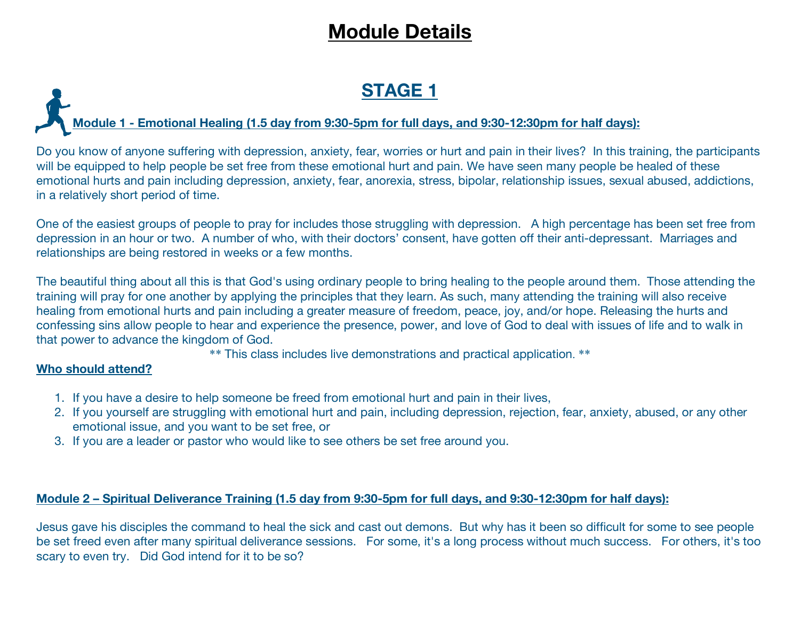## **Module Details**

## **STAGE 1**

#### **Module 1 - Emotional Healing (1.5 day from 9:30-5pm for full days, and 9:30-12:30pm for half days):**

Do you know of anyone suffering with depression, anxiety, fear, worries or hurt and pain in their lives? In this training, the participants will be equipped to help people be set free from these emotional hurt and pain. We have seen many people be healed of these emotional hurts and pain including depression, anxiety, fear, anorexia, stress, bipolar, relationship issues, sexual abused, addictions, in a relatively short period of time.

One of the easiest groups of people to pray for includes those struggling with depression. A high percentage has been set free from depression in an hour or two. A number of who, with their doctors' consent, have gotten off their anti-depressant. Marriages and relationships are being restored in weeks or a few months.

The beautiful thing about all this is that God's using ordinary people to bring healing to the people around them. Those attending the training will pray for one another by applying the principles that they learn. As such, many attending the training will also receive healing from emotional hurts and pain including a greater measure of freedom, peace, joy, and/or hope. Releasing the hurts and confessing sins allow people to hear and experience the presence, power, and love of God to deal with issues of life and to walk in that power to advance the kingdom of God.

\*\* This class includes live demonstrations and practical application. \*\*

#### **Who should attend?**

- 1. If you have a desire to help someone be freed from emotional hurt and pain in their lives,
- 2. If you yourself are struggling with emotional hurt and pain, including depression, rejection, fear, anxiety, abused, or any other emotional issue, and you want to be set free, or
- 3. If you are a leader or pastor who would like to see others be set free around you.

#### Module 2 - Spiritual Deliverance Training (1.5 day from 9:30-5pm for full days, and 9:30-12:30pm for half days):

Jesus gave his disciples the command to heal the sick and cast out demons. But why has it been so difficult for some to see people be set freed even after many spiritual deliverance sessions. For some, it's a long process without much success. For others, it's too scary to even try. Did God intend for it to be so?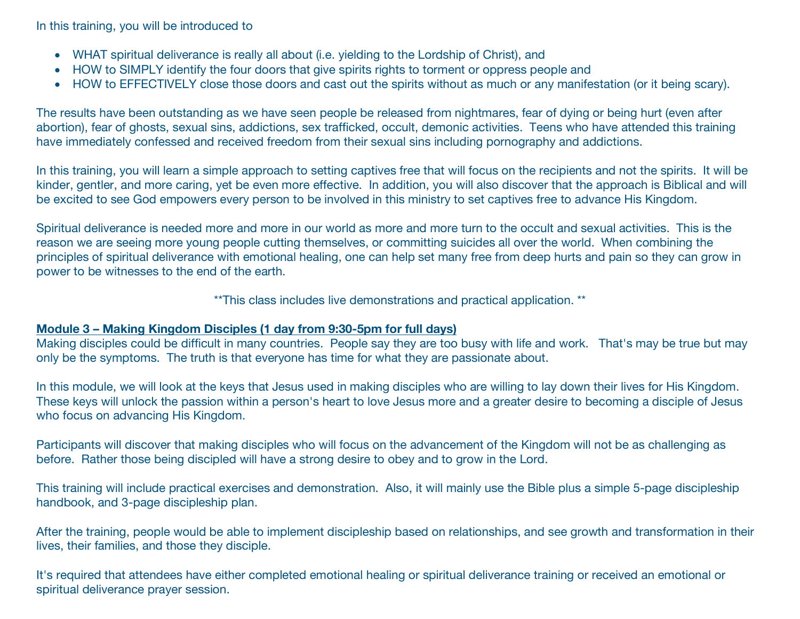In this training, you will be introduced to

- WHAT spiritual deliverance is really all about (i.e. yielding to the Lordship of Christ), and
- HOW to SIMPLY identify the four doors that give spirits rights to torment or oppress people and
- HOW to EFFECTIVELY close those doors and cast out the spirits without as much or any manifestation (or it being scary).

The results have been outstanding as we have seen people be released from nightmares, fear of dying or being hurt (even after abortion), fear of ghosts, sexual sins, addictions, sex trafficked, occult, demonic activities. Teens who have attended this training have immediately confessed and received freedom from their sexual sins including pornography and addictions.

In this training, you will learn a simple approach to setting captives free that will focus on the recipients and not the spirits. It will be kinder, gentler, and more caring, yet be even more effective. In addition, you will also discover that the approach is Biblical and will be excited to see God empowers every person to be involved in this ministry to set captives free to advance His Kingdom.

Spiritual deliverance is needed more and more in our world as more and more turn to the occult and sexual activities. This is the reason we are seeing more young people cutting themselves, or committing suicides all over the world. When combining the principles of spiritual deliverance with emotional healing, one can help set many free from deep hurts and pain so they can grow in power to be witnesses to the end of the earth.

\*\*This class includes live demonstrations and practical application. \*\*

#### **Module 3 – Making Kingdom Disciples (1 day from 9:30-5pm for full days)**

Making disciples could be difficult in many countries. People say they are too busy with life and work. That's may be true but may only be the symptoms. The truth is that everyone has time for what they are passionate about.

In this module, we will look at the keys that Jesus used in making disciples who are willing to lay down their lives for His Kingdom. These keys will unlock the passion within a person's heart to love Jesus more and a greater desire to becoming a disciple of Jesus who focus on advancing His Kingdom.

Participants will discover that making disciples who will focus on the advancement of the Kingdom will not be as challenging as before. Rather those being discipled will have a strong desire to obey and to grow in the Lord.

This training will include practical exercises and demonstration. Also, it will mainly use the Bible plus a simple 5-page discipleship handbook, and 3-page discipleship plan.

After the training, people would be able to implement discipleship based on relationships, and see growth and transformation in their lives, their families, and those they disciple.

It's required that attendees have either completed emotional healing or spiritual deliverance training or received an emotional or spiritual deliverance prayer session.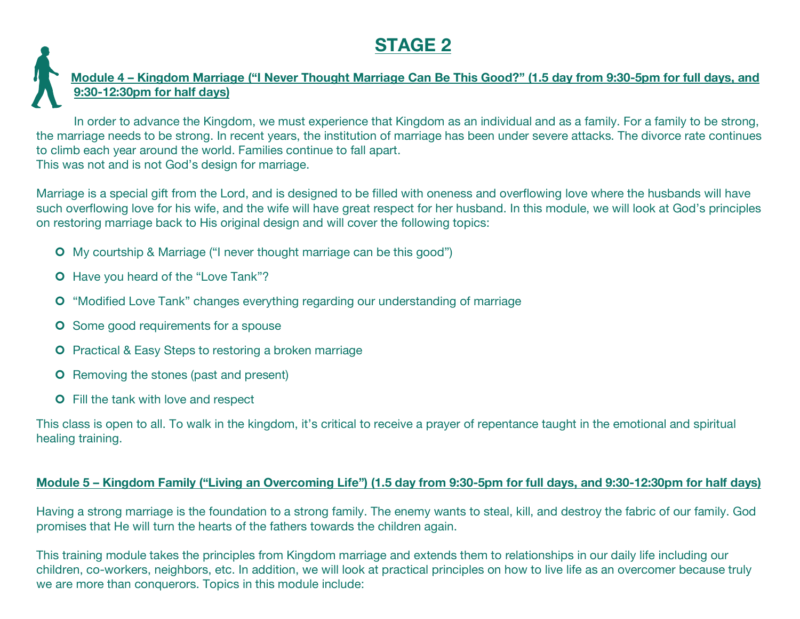## **STAGE 2**

#### Module 4 - Kingdom Marriage ("I Never Thought Marriage Can Be This Good?" (1.5 day from 9:30-5pm for full days, and **9:30-12:30pm for half days)**

In order to advance the Kingdom, we must experience that Kingdom as an individual and as a family. For a family to be strong, the marriage needs to be strong. In recent years, the institution of marriage has been under severe attacks. The divorce rate continues to climb each year around the world. Families continue to fall apart. This was not and is not God's design for marriage.

Marriage is a special gift from the Lord, and is designed to be filled with oneness and overflowing love where the husbands will have such overflowing love for his wife, and the wife will have great respect for her husband. In this module, we will look at God's principles on restoring marriage back to His original design and will cover the following topics:

- ¢ My courtship & Marriage ("I never thought marriage can be this good")
- ¢ Have you heard of the "Love Tank"?
- **O** "Modified Love Tank" changes everything regarding our understanding of marriage
- **O** Some good requirements for a spouse
- **O** Practical & Easy Steps to restoring a broken marriage
- **O** Removing the stones (past and present)
- **O** Fill the tank with love and respect

This class is open to all. To walk in the kingdom, it's critical to receive a prayer of repentance taught in the emotional and spiritual healing training.

#### Module 5 – Kingdom Family ("Living an Overcoming Life") (1.5 day from 9:30-5pm for full days, and 9:30-12:30pm for half days)

Having a strong marriage is the foundation to a strong family. The enemy wants to steal, kill, and destroy the fabric of our family. God promises that He will turn the hearts of the fathers towards the children again.

This training module takes the principles from Kingdom marriage and extends them to relationships in our daily life including our children, co-workers, neighbors, etc. In addition, we will look at practical principles on how to live life as an overcomer because truly we are more than conquerors. Topics in this module include: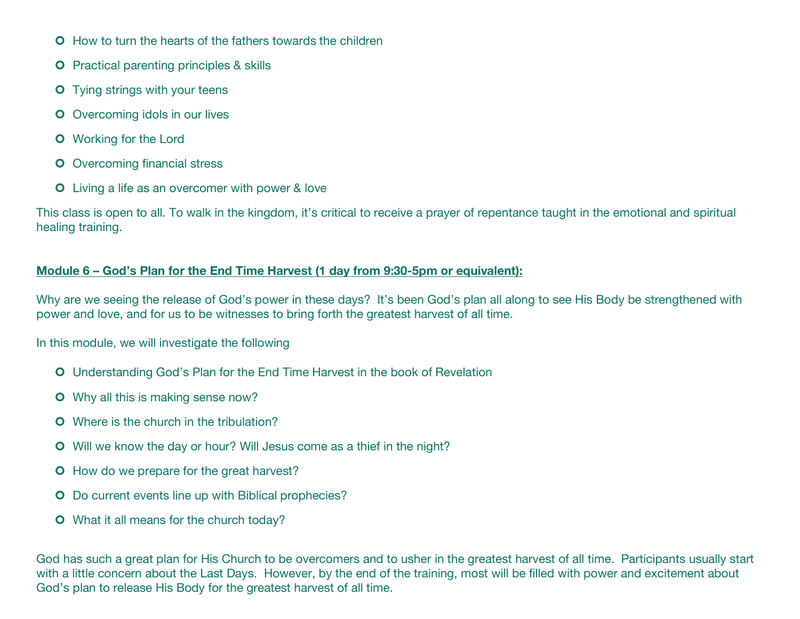- **O** How to turn the hearts of the fathers towards the children
- **O** Practical parenting principles & skills
- **O** Tying strings with your teens
- **O** Overcoming idols in our lives
- **O** Working for the Lord
- **O** Overcoming financial stress
- **O** Living a life as an overcomer with power & love

This class is open to all. To walk in the kingdom, it's critical to receive a prayer of repentance taught in the emotional and spiritual healing training.

#### **Module 6 – God's Plan for the End Time Harvest (1 day from 9:30-5pm or equivalent):**

Why are we seeing the release of God's power in these days? It's been God's plan all along to see His Body be strengthened with power and love, and for us to be witnesses to bring forth the greatest harvest of all time.

In this module, we will investigate the following

- **O** Understanding God's Plan for the End Time Harvest in the book of Revelation
- **O** Why all this is making sense now?
- **O** Where is the church in the tribulation?
- **O** Will we know the day or hour? Will Jesus come as a thief in the night?
- **O** How do we prepare for the great harvest?
- **O** Do current events line up with Biblical prophecies?
- **O** What it all means for the church today?

God has such a great plan for His Church to be overcomers and to usher in the greatest harvest of all time. Participants usually start with a little concern about the Last Days. However, by the end of the training, most will be filled with power and excitement about God's plan to release His Body for the greatest harvest of all time.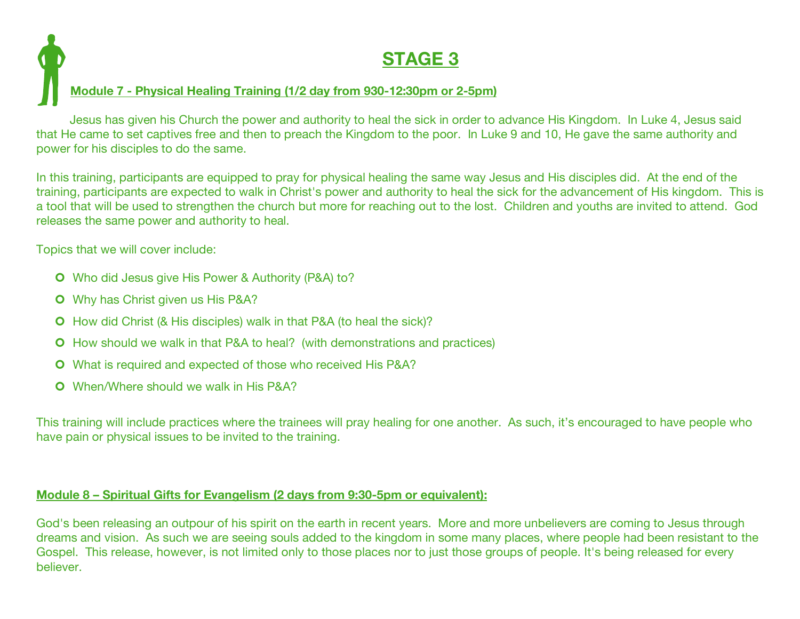## **STAGE 3 Module 7 - Physical Healing Training (1/2 day from 930-12:30pm or 2-5pm)**

Jesus has given his Church the power and authority to heal the sick in order to advance His Kingdom. In Luke 4, Jesus said that He came to set captives free and then to preach the Kingdom to the poor. In Luke 9 and 10, He gave the same authority and power for his disciples to do the same.

In this training, participants are equipped to pray for physical healing the same way Jesus and His disciples did. At the end of the training, participants are expected to walk in Christ's power and authority to heal the sick for the advancement of His kingdom. This is a tool that will be used to strengthen the church but more for reaching out to the lost. Children and youths are invited to attend. God releases the same power and authority to heal.

Topics that we will cover include:

- **O** Who did Jesus give His Power & Authority (P&A) to?
- ¢ Why has Christ given us His P&A?
- **O** How did Christ (& His disciples) walk in that P&A (to heal the sick)?
- **O** How should we walk in that P&A to heal? (with demonstrations and practices)
- **O** What is required and expected of those who received His P&A?
- ¢ When/Where should we walk in His P&A?

This training will include practices where the trainees will pray healing for one another. As such, it's encouraged to have people who have pain or physical issues to be invited to the training.

#### **Module 8 – Spiritual Gifts for Evangelism (2 days from 9:30-5pm or equivalent):**

God's been releasing an outpour of his spirit on the earth in recent years. More and more unbelievers are coming to Jesus through dreams and vision. As such we are seeing souls added to the kingdom in some many places, where people had been resistant to the Gospel. This release, however, is not limited only to those places nor to just those groups of people. It's being released for every believer.